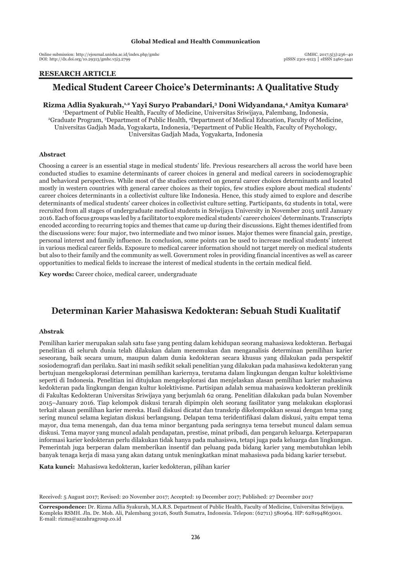Online submission: http://ejournal.unisba.ac.id/index.php/gmhc DOI: pISSN 2301-9123 │ eISSN 2460-5441 http://dx.doi.org/10.29313/gmhc.v5i3.2799

## **ARTIKEL PENELITIAN RESEARCH ARTICLE**

## **Medical Student Career Choice's Determinants: A Qualitative Study**

**Rizma Adlia Syakurah,1,2 Yayi Suryo Prabandari,3 Doni Widyandana,4 Amitya Kumara5** 1 Department of Public Health, Faculty of Medicine, Universitas Sriwijaya, Palembang, Indonesia, 2 Graduate Program, 3 Department of Public Health, 4 Department of Medical Education, Faculty of Medicine, Universitas Gadjah Mada, Yogyakarta, Indonesia, 5 Department of Public Health, Faculty of Psychology, Universitas Gadjah Mada, Yogyakarta, Indonesia

#### **Abstract**

Choosing a career is an essential stage in medical students' life. Previous researchers all across the world have been conducted studies to examine determinants of career choices in general and medical careers in sociodemographic and behavioral perspectives. While most of the studies centered on general career choices determinants and located mostly in western countries with general career choices as their topics, few studies explore about medical students' career choices determinants in a collectivist culture like Indonesia. Hence, this study aimed to explore and describe determinants of medical students' career choices in collectivist culture setting. Participants, 62 students in total, were recruited from all stages of undergraduate medical students in Sriwijaya University in November 2015 until January 2016. Each of focus groups was led by a facilitator to explore medical students' career choices' determinants. Transcripts encoded according to recurring topics and themes that came up during their discussions. Eight themes identified from the discussions were: four major, two intermediate and two minor issues. Major themes were financial gain, prestige, personal interest and family influence. In conclusion, some points can be used to increase medical students' interest in various medical career fields. Exposure to medical career information should not target merely on medical students but also to their family and the community as well. Government roles in providing financial incentives as well as career opportunities to medical fields to increase the interest of medical students in the certain medical field.

**Key words:** Career choice, medical career, undergraduate

# **Determinan Karier Mahasiswa Kedokteran: Sebuah Studi Kualitatif**

#### **Abstrak**

Pemilihan karier merupakan salah satu fase yang penting dalam kehidupan seorang mahasiswa kedokteran. Berbagai penelitian di seluruh dunia telah dilakukan dalam menemukan dan menganalisis determinan pemilihan karier seseorang, baik secara umum, maupun dalam dunia kedokteran secara khusus yang dilakukan pada perspektif sosiodemografi dan perilaku. Saat ini masih sedikit sekali penelitian yang dilakukan pada mahasiswa kedokteran yang bertujuan mengeksplorasi determinan pemilihan kariernya, terutama dalam lingkungan dengan kultur kolektivisme seperti di Indonesia. Penelitian ini ditujukan mengeksplorasi dan menjelaskan alasan pemilihan karier mahasiswa kedokteran pada lingkungan dengan kultur kolektivisme. Partisipan adalah semua mahasiswa kedokteran preklinik di Fakultas Kedokteran Universitas Sriwijaya yang berjumlah 62 orang. Penelitian dilakukan pada bulan November 2015–January 2016. Tiap kelompok diskusi terarah dipimpin oleh seorang fasilitator yang melakukan eksplorasi terkait alasan pemilihan karier mereka. Hasil diskusi dicatat dan transkrip dikelompokkan sesuai dengan tema yang sering muncul selama kegiatan diskusi berlangsung. Delapan tema teridentifikasi dalam diskusi, yaitu empat tema mayor, dua tema menengah, dan dua tema minor bergantung pada seringnya tema tersebut muncul dalam semua diskusi. Tema mayor yang muncul adalah pendapatan, prestise, minat pribadi, dan pengaruh keluarga. Keterpaparan informasi karier kedokteran perlu dilakukan tidak hanya pada mahasiswa, tetapi juga pada keluarga dan lingkungan. Pemerintah juga berperan dalam memberikan insentif dan peluang pada bidang karier yang membutuhkan lebih banyak tenaga kerja di masa yang akan datang untuk meningkatkan minat mahasiswa pada bidang karier tersebut.

**Kata kunci:** Mahasiswa kedokteran, karier kedokteran, pilihan karier

Received: 5 August 2017; Revised: 20 November 2017; Accepted: 19 December 2017; Published: 27 December 2017

**Correspondence:** Dr. Rizma Adlia Syakurah, M.A.R.S. Department of Public Health, Faculty of Medicine, Universitas Sriwijaya. Kompleks RSMH. Jln. Dr. Moh. Ali, Palembang 30126, South Sumatra, Indonesia. Telepon: (62711) 580964. HP: 628194863001. E-mail: rizma@azzahragroup.co.id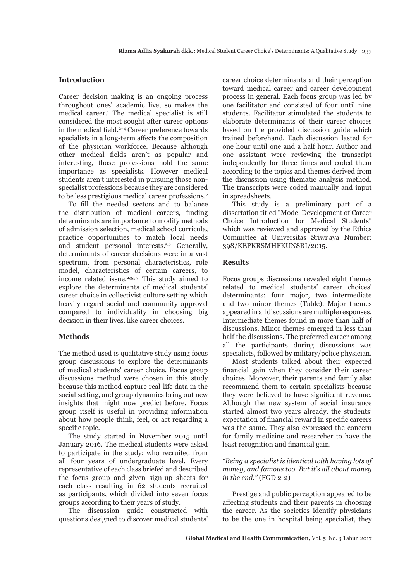## **Introduction**

Career decision making is an ongoing process throughout ones' academic live, so makes the medical career.1 The medical specialist is still considered the most sought after career options in the medical field.<sup>2-4</sup> Career preference towards specialists in a long-term affects the composition of the physician workforce. Because although other medical fields aren't as popular and interesting, those professions hold the same importance as specialists. However medical students aren't interested in pursuing those nonspecialist professions because they are considered to be less prestigious medical career professions.2

To fill the needed sectors and to balance the distribution of medical careers, finding determinants are importance to modify methods of admission selection, medical school curricula, practice opportunities to match local needs and student personal interests.<sup>5,6</sup> Generally, determinants of career decisions were in a vast spectrum, from personal characteristics, role model, characteristics of certain careers, to income related issue.<sup>2,3,5,7</sup> This study aimed to explore the determinants of medical students' career choice in collectivist culture setting which heavily regard social and community approval compared to individuality in choosing big decision in their lives, like career choices.

### **Methods**

The method used is qualitative study using focus group discussions to explore the determinants of medical students' career choice. Focus group discussions method were chosen in this study because this method capture real-life data in the social setting, and group dynamics bring out new insights that might now predict before. Focus group itself is useful in providing information about how people think, feel, or act regarding a specific topic.

The study started in November 2015 until January 2016. The medical students were asked to participate in the study; who recruited from all four years of undergraduate level. Every representative of each class briefed and described the focus group and given sign-up sheets for each class resulting in 62 students recruited as participants, which divided into seven focus groups according to their years of study.

The discussion guide constructed with questions designed to discover medical students' career choice determinants and their perception toward medical career and career development process in general. Each focus group was led by one facilitator and consisted of four until nine students. Facilitator stimulated the students to elaborate determinants of their career choices based on the provided discussion guide which trained beforehand. Each discussion lasted for one hour until one and a half hour. Author and one assistant were reviewing the transcript independently for three times and coded them according to the topics and themes derived from the discussion using thematic analysis method. The transcripts were coded manually and input in spreadsheets.

This study is a preliminary part of a dissertation titled "Model Development of Career Choice Introduction for Medical Students" which was reviewed and approved by the Ethics Committee at Universitas Sriwijaya Number: 398/KEPKRSMHFKUNSRI/2015.

#### **Results**

Focus groups discussions revealed eight themes related to medical students' career choices' determinants: four major, two intermediate and two minor themes (Table). Major themes appeared in all discussions are multiple responses. Intermediate themes found in more than half of discussions. Minor themes emerged in less than half the discussions. The preferred career among all the participants during discussions was specialists, followed by military/police physician.

Most students talked about their expected financial gain when they consider their career choices. Moreover, their parents and family also recommend them to certain specialists because they were believed to have significant revenue. Although the new system of social insurance started almost two years already, the students' expectation of financial reward in specific careers was the same. They also expressed the concern for family medicine and researcher to have the least recognition and financial gain.

## *"Being a specialist is identical with having lots of money, and famous too. But it's all about money in the end."* (FGD 2-2)

Prestige and public perception appeared to be affecting students and their parents in choosing the career. As the societies identify physicians to be the one in hospital being specialist, they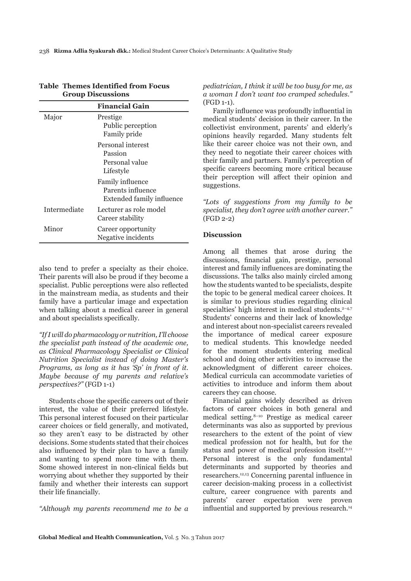|                     | <b>Financial Gain</b>                                              |
|---------------------|--------------------------------------------------------------------|
| Major               | Prestige<br>Public perception<br>Family pride                      |
|                     | Personal interest<br>Passion<br>Personal value<br>Lifestyle        |
|                     | Family influence<br>Parents influence<br>Extended family influence |
| <b>Intermediate</b> | Lecturer as role model<br>Career stability                         |
| Minor               | Career opportunity<br>Negative incidents                           |

## **Table Themes Identified from Focus Group Discussions**

also tend to prefer a specialty as their choice. Their parents will also be proud if they become a specialist. Public perceptions were also reflected in the mainstream media, as students and their family have a particular image and expectation when talking about a medical career in general and about specialists specifically.

*"If I will do pharmacology or nutrition, I'll choose the specialist path instead of the academic one, as Clinical Pharmacology Specialist or Clinical Nutrition Specialist instead of doing Master's Programs, as long as it has 'Sp' in front of it. Maybe because of my parents and relative's perspectives?"* (FGD 1-1)

Students chose the specific careers out of their interest, the value of their preferred lifestyle. This personal interest focused on their particular career choices or field generally, and motivated, so they aren't easy to be distracted by other decisions. Some students stated that their choices also influenced by their plan to have a family and wanting to spend more time with them. Some showed interest in non-clinical fields but worrying about whether they supported by their family and whether their interests can support their life financially.

*"Although my parents recommend me to be a* 

*pediatrician, I think it will be too busy for me, as a woman I don't want too cramped schedules."* (FGD 1-1).

Family influence was profoundly influential in medical students' decision in their career. In the collectivist environment, parents' and elderly's opinions heavily regarded. Many students felt like their career choice was not their own, and they need to negotiate their career choices with their family and partners. Family's perception of specific careers becoming more critical because their perception will affect their opinion and suggestions.

*"Lots of suggestions from my family to be specialist, they don't agree with another career."* (FGD 2-2)

## **Discussion**

Among all themes that arose during the discussions, financial gain, prestige, personal interest and family influences are dominating the discussions. The talks also mainly circled among how the students wanted to be specialists, despite the topic to be general medical career choices. It is similar to previous studies regarding clinical specialties' high interest in medical students. $2-4.7$ Students' concerns and their lack of knowledge and interest about non-specialist careers revealed the importance of medical career exposure to medical students. This knowledge needed for the moment students entering medical school and doing other activities to increase the acknowledgment of different career choices. Medical curricula can accommodate varieties of activities to introduce and inform them about careers they can choose.

Financial gains widely described as driven factors of career choices in both general and medical setting.8–10 Prestige as medical career determinants was also as supported by previous researchers to the extent of the point of view medical profession not for health, but for the status and power of medical profession itself.9,11 Personal interest is the only fundamental determinants and supported by theories and researchers.12,13 Concerning parental influence in career decision-making process in a collectivist culture, career congruence with parents and parents' career expectation were proven influential and supported by previous research.<sup>14</sup>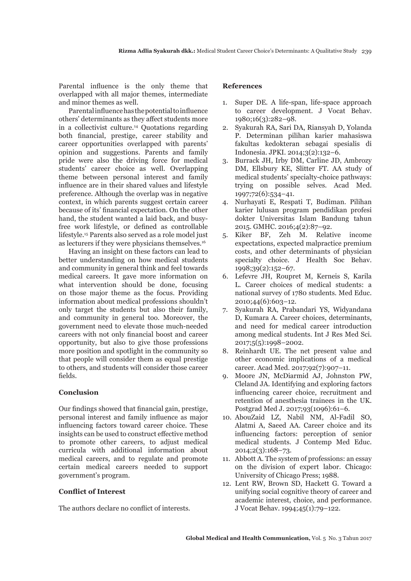Parental influence is the only theme that overlapped with all major themes, intermediate and minor themes as well.

Parental influence has the potential to influence others' determinants as they affect students more in a collectivist culture.14 Quotations regarding both financial, prestige, career stability and career opportunities overlapped with parents' opinion and suggestions. Parents and family pride were also the driving force for medical students' career choice as well. Overlapping theme between personal interest and family influence are in their shared values and lifestyle preference. Although the overlap was in negative context, in which parents suggest certain career because of its' financial expectation. On the other hand, the student wanted a laid back, and busyfree work lifestyle, or defined as controllable lifestyle.15 Parents also served as a role model just as lecturers if they were physicians themselves.16

Having an insight on these factors can lead to better understanding on how medical students and community in general think and feel towards medical careers. It gave more information on what intervention should be done, focusing on those major theme as the focus. Providing information about medical professions shouldn't only target the students but also their family, and community in general too. Moreover, the government need to elevate those much-needed careers with not only financial boost and career opportunity, but also to give those professions more position and spotlight in the community so that people will consider them as equal prestige to others, and students will consider those career fields.

## **Conclusion**

Our findings showed that financial gain, prestige, personal interest and family influence as major influencing factors toward career choice. These insights can be used to construct effective method to promote other careers, to adjust medical curricula with additional information about medical careers, and to regulate and promote certain medical careers needed to support government's program.

## **Conflict of Interest**

The authors declare no conflict of interests.

## **References**

- 1. Super DE. A life-span, life-space approach to career development. J Vocat Behav. 1980;16(3):282–98.
- 2. Syakurah RA, Sari DA, Riansyah D, Yolanda P. Determinan pilihan karier mahasiswa fakultas kedokteran sebagai spesialis di Indonesia. JPKI. 2014;3(2):132–6.
- 3. Burrack JH, Irby DM, Carline JD, Ambrozy DM, Ellsbury KE, Slitter FT. AA study of medical students' specialty-choice pathways: trying on possible selves. Acad Med. 1997;72(6):534–41.
- 4. Nurhayati E, Respati T, Budiman. Pilihan karier lulusan program pendidikan profesi dokter Universitas Islam Bandung tahun 2015. GMHC. 2016;4(2):87–92.
- 5. Kiker BF, Zeh M. Relative income expectations, expected malpractice premium costs, and other determinants of physician specialty choice. J Health Soc Behav. 1998;39(2):152–67.
- 6. Lefevre JH, Roupret M, Kerneis S, Karila L. Career choices of medical students: a national survey of 1780 students. Med Educ. 2010;44(6):603–12.
- 7. Syakurah RA, Prabandari YS, Widyandana D, Kumara A. Career choices, determinants, and need for medical career introduction among medical students. Int J Res Med Sci. 2017;5(5):1998–2002.
- 8. Reinhardt UE. The net present value and other economic implications of a medical career. Acad Med. 2017;92(7):907–11.
- 9. Moore JN, McDiarmid AJ, Johnston PW, Cleland JA. Identifying and exploring factors influencing career choice, recruitment and retention of anesthesia trainees in the UK. Postgrad Med J. 2017;93(1096):61–6.
- 10. AbouZaid LZ, Nabil NM, Al-Fadil SO, Alatmi A, Saeed AA. Career choice and its influencing factors: perception of senior medical students. J Contemp Med Educ. 2014;2(3):168–73.
- 11. Abbott A. The system of professions: an essay on the division of expert labor. Chicago: University of Chicago Press; 1988.
- 12. Lent RW, Brown SD, Hackett G. Toward a unifying social cognitive theory of career and academic interest, choice, and performance. J Vocat Behav. 1994;45(1):79–122.